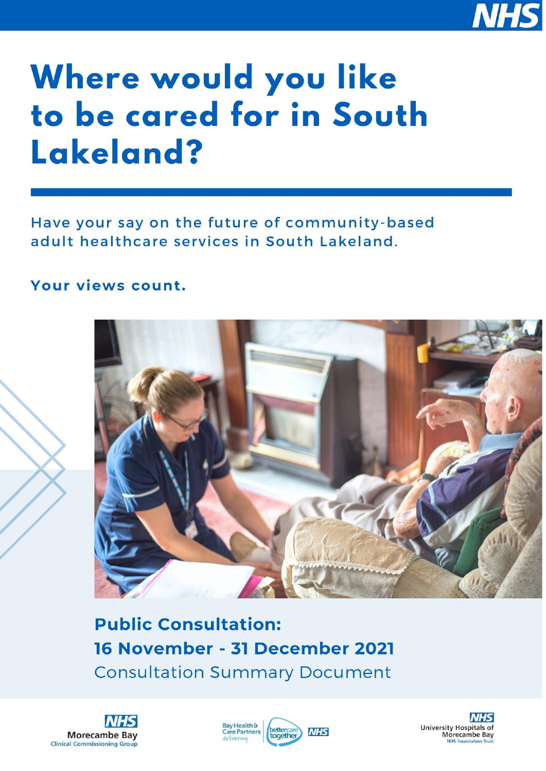

# Where would you like to be cared for in South Lakeland?

Have your say on the future of community-based adult healthcare services in South Lakeland.

# Your views count.



**Public Consultation:** 16 November - 31 December 2021 **Consultation Summary Document** 





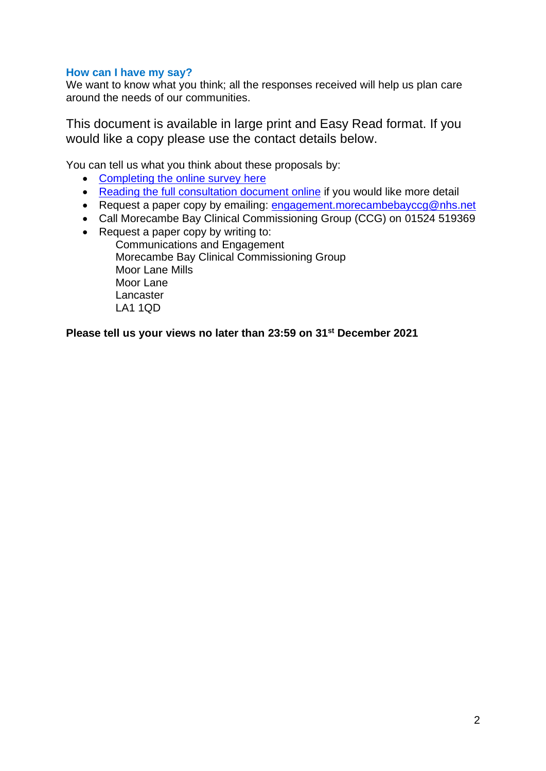# **How can I have my say?**

We want to know what you think; all the responses received will help us plan care around the needs of our communities.

This document is available in large print and Easy Read format. If you would like a copy please use the contact details below.

You can tell us what you think about these proposals by:

- [Completing the online survey](https://www.smartsurvey.co.uk/s/langdales-consultation/) here
- Reading the [full consultation document online](https://www.healthierlsc.co.uk/morecambe-bay/our-work/engagement) if you would like more detail
- Request a paper copy by emailing: [engagement.morecambebayccg@nhs.net](mailto:engagement.morecambebayccg@nhs.net)
- Call Morecambe Bay Clinical Commissioning Group (CCG) on 01524 519369
- Request a paper copy by writing to:

Communications and Engagement Morecambe Bay Clinical Commissioning Group Moor Lane Mills Moor Lane **Lancaster** LA1 1QD

## **Please tell us your views no later than 23:59 on 31st December 2021**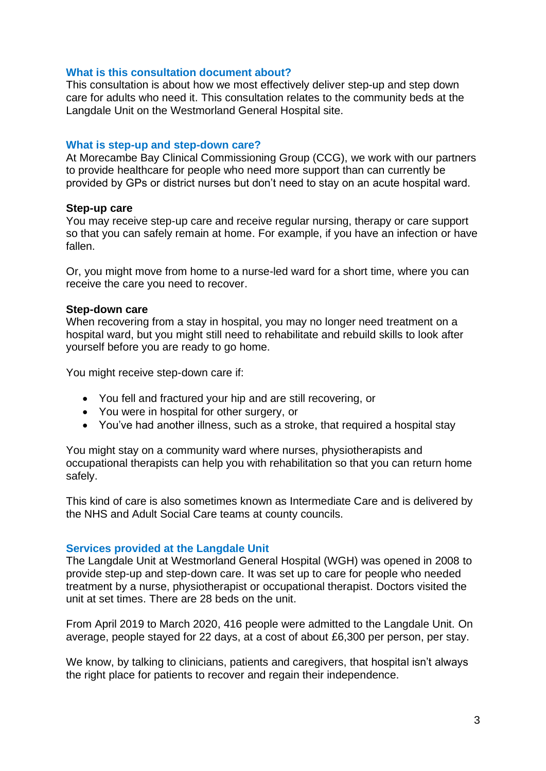#### **What is this consultation document about?**

This consultation is about how we most effectively deliver step-up and step down care for adults who need it. This consultation relates to the community beds at the Langdale Unit on the Westmorland General Hospital site.

#### **What is step-up and step-down care?**

At Morecambe Bay Clinical Commissioning Group (CCG), we work with our partners to provide healthcare for people who need more support than can currently be provided by GPs or district nurses but don't need to stay on an acute hospital ward.

#### **Step-up care**

You may receive step-up care and receive regular nursing, therapy or care support so that you can safely remain at home. For example, if you have an infection or have fallen.

Or, you might move from home to a nurse-led ward for a short time, where you can receive the care you need to recover.

#### **Step-down care**

When recovering from a stay in hospital, you may no longer need treatment on a hospital ward, but you might still need to rehabilitate and rebuild skills to look after yourself before you are ready to go home.

You might receive step-down care if:

- You fell and fractured your hip and are still recovering, or
- You were in hospital for other surgery, or
- You've had another illness, such as a stroke, that required a hospital stay

You might stay on a community ward where nurses, physiotherapists and occupational therapists can help you with rehabilitation so that you can return home safely.

This kind of care is also sometimes known as Intermediate Care and is delivered by the NHS and Adult Social Care teams at county councils.

## **Services provided at the Langdale Unit**

The Langdale Unit at Westmorland General Hospital (WGH) was opened in 2008 to provide step-up and step-down care. It was set up to care for people who needed treatment by a nurse, physiotherapist or occupational therapist. Doctors visited the unit at set times. There are 28 beds on the unit.

From April 2019 to March 2020, 416 people were admitted to the Langdale Unit. On average, people stayed for 22 days, at a cost of about £6,300 per person, per stay.

We know, by talking to clinicians, patients and caregivers, that hospital isn't always the right place for patients to recover and regain their independence.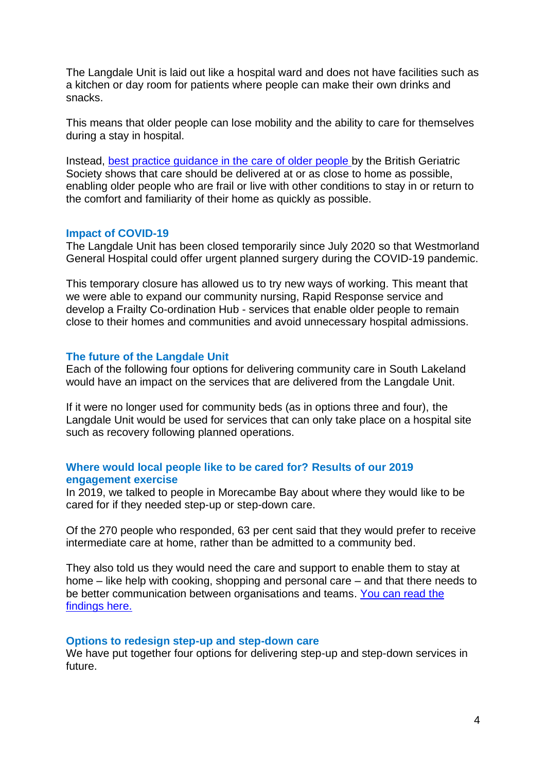The Langdale Unit is laid out like a hospital ward and does not have facilities such as a kitchen or day room for patients where people can make their own drinks and snacks.

This means that older people can lose mobility and the ability to care for themselves during a stay in hospital.

Instead, [best practice guidance in the care of older people](https://www.bgs.org.uk/sites/default/files/content/attachment/2021-08-17/BGS%20Right%20time%2C%20right%20place%20-%20Urgent%20community-based%20care%20for%20older%20people.pdf) by the British Geriatric Society shows that care should be delivered at or as close to home as possible, enabling older people who are frail or live with other conditions to stay in or return to the comfort and familiarity of their home as quickly as possible.

#### **Impact of COVID-19**

The Langdale Unit has been closed temporarily since July 2020 so that Westmorland General Hospital could offer urgent planned surgery during the COVID-19 pandemic.

This temporary closure has allowed us to try new ways of working. This meant that we were able to expand our community nursing, Rapid Response service and develop a Frailty Co-ordination Hub - services that enable older people to remain close to their homes and communities and avoid unnecessary hospital admissions.

#### **The future of the Langdale Unit**

Each of the following four options for delivering community care in South Lakeland would have an impact on the services that are delivered from the Langdale Unit.

If it were no longer used for community beds (as in options three and four), the Langdale Unit would be used for services that can only take place on a hospital site such as recovery following planned operations.

#### **Where would local people like to be cared for? Results of our 2019 engagement exercise**

In 2019, we talked to people in Morecambe Bay about where they would like to be cared for if they needed step-up or step-down care.

Of the 270 people who responded, 63 per cent said that they would prefer to receive intermediate care at home, rather than be admitted to a community bed.

They also told us they would need the care and support to enable them to stay at home – like help with cooking, shopping and personal care – and that there needs to be better communication between organisations and teams. You can read the [findings here.](https://www.healthierlsc.co.uk/application/files/2815/8107/0582/WWYLTBCF_-_report_of_findings.pdf)

#### **Options to redesign step-up and step-down care**

We have put together four options for delivering step-up and step-down services in future.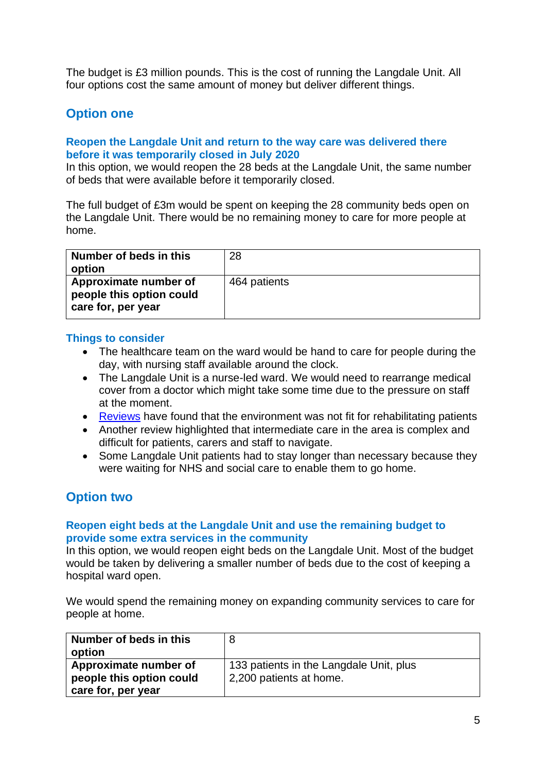The budget is £3 million pounds. This is the cost of running the Langdale Unit. All four options cost the same amount of money but deliver different things.

# **Option one**

## **Reopen the Langdale Unit and return to the way care was delivered there before it was temporarily closed in July 2020**

In this option, we would reopen the 28 beds at the Langdale Unit, the same number of beds that were available before it temporarily closed.

The full budget of £3m would be spent on keeping the 28 community beds open on the Langdale Unit. There would be no remaining money to care for more people at home.

| Number of beds in this<br>option                                        | 28           |
|-------------------------------------------------------------------------|--------------|
| Approximate number of<br>people this option could<br>care for, per year | 464 patients |

#### **Things to consider**

- The healthcare team on the ward would be hand to care for people during the day, with nursing staff available around the clock.
- The Langdale Unit is a nurse-led ward. We would need to rearrange medical cover from a doctor which might take some time due to the pressure on staff at the moment.
- [Reviews](https://www.healthierlsc.co.uk/application/files/1416/3706/6779/NWUM_Morecambe_Bay_Community_Bed_Service_Review_Report_June_2017.pdf) have found that the environment was not fit for rehabilitating patients
- Another review highlighted that intermediate care in the area is complex and difficult for patients, carers and staff to navigate.
- Some Langdale Unit patients had to stay longer than necessary because they were waiting for NHS and social care to enable them to go home.

# **Option two**

## **Reopen eight beds at the Langdale Unit and use the remaining budget to provide some extra services in the community**

In this option, we would reopen eight beds on the Langdale Unit. Most of the budget would be taken by delivering a smaller number of beds due to the cost of keeping a hospital ward open.

We would spend the remaining money on expanding community services to care for people at home.

| Number of beds in this   | 8                                       |
|--------------------------|-----------------------------------------|
| option                   |                                         |
| Approximate number of    | 133 patients in the Langdale Unit, plus |
| people this option could | 2,200 patients at home.                 |
| care for, per year       |                                         |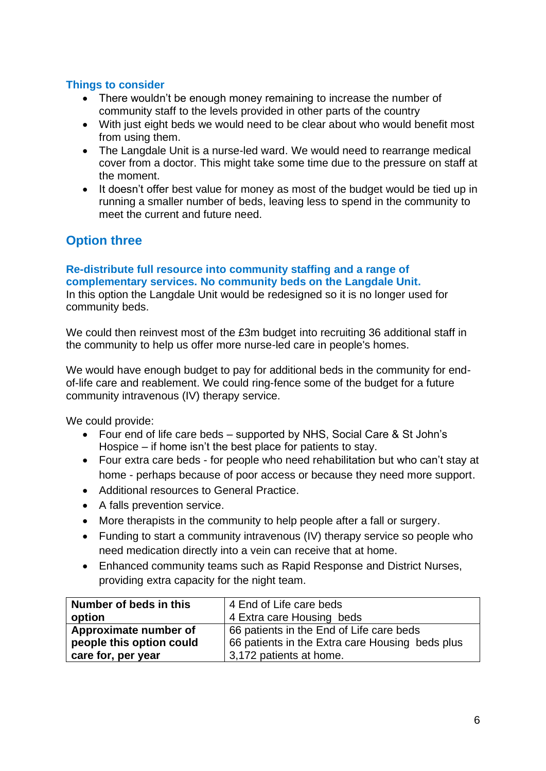# **Things to consider**

- There wouldn't be enough money remaining to increase the number of community staff to the levels provided in other parts of the country
- With just eight beds we would need to be clear about who would benefit most from using them.
- The Langdale Unit is a nurse-led ward. We would need to rearrange medical cover from a doctor. This might take some time due to the pressure on staff at the moment.
- It doesn't offer best value for money as most of the budget would be tied up in running a smaller number of beds, leaving less to spend in the community to meet the current and future need.

# **Option three**

#### **Re-distribute full resource into community staffing and a range of complementary services. No community beds on the Langdale Unit.** In this option the Langdale Unit would be redesigned so it is no longer used for

community beds.

We could then reinvest most of the £3m budget into recruiting 36 additional staff in the community to help us offer more nurse-led care in people's homes.

We would have enough budget to pay for additional beds in the community for endof-life care and reablement. We could ring-fence some of the budget for a future community intravenous (IV) therapy service.

We could provide:

- Four end of life care beds supported by NHS, Social Care & St John's Hospice – if home isn't the best place for patients to stay.
- Four extra care beds for people who need rehabilitation but who can't stay at home - perhaps because of poor access or because they need more support.
- Additional resources to General Practice.
- A falls prevention service.
- More therapists in the community to help people after a fall or surgery.
- Funding to start a community intravenous (IV) therapy service so people who need medication directly into a vein can receive that at home.
- Enhanced community teams such as Rapid Response and District Nurses, providing extra capacity for the night team.

| Number of beds in this   | 4 End of Life care beds                         |  |  |
|--------------------------|-------------------------------------------------|--|--|
| option                   | 4 Extra care Housing beds                       |  |  |
| Approximate number of    | 66 patients in the End of Life care beds        |  |  |
| people this option could | 66 patients in the Extra care Housing beds plus |  |  |
| care for, per year       | 3,172 patients at home.                         |  |  |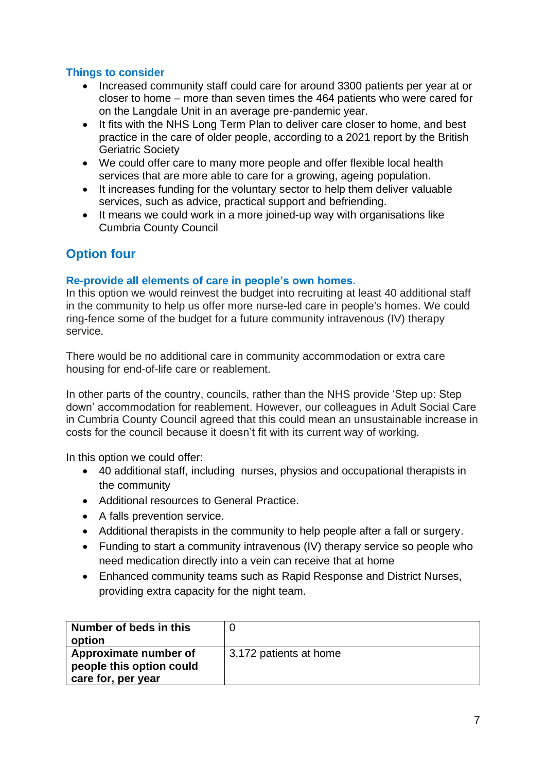# **Things to consider**

- Increased community staff could care for around 3300 patients per year at or closer to home – more than seven times the 464 patients who were cared for on the Langdale Unit in an average pre-pandemic year.
- It fits with the NHS Long Term Plan to deliver care closer to home, and best practice in the care of older people, according to a 2021 report by the British Geriatric Society
- We could offer care to many more people and offer flexible local health services that are more able to care for a growing, ageing population.
- It increases funding for the voluntary sector to help them deliver valuable services, such as advice, practical support and befriending.
- It means we could work in a more joined-up way with organisations like Cumbria County Council

# **Option four**

# **Re-provide all elements of care in people's own homes.**

In this option we would reinvest the budget into recruiting at least 40 additional staff in the community to help us offer more nurse-led care in people's homes. We could ring-fence some of the budget for a future community intravenous (IV) therapy service.

There would be no additional care in community accommodation or extra care housing for end-of-life care or reablement.

In other parts of the country, councils, rather than the NHS provide 'Step up: Step down' accommodation for reablement. However, our colleagues in Adult Social Care in Cumbria County Council agreed that this could mean an unsustainable increase in costs for the council because it doesn't fit with its current way of working.

In this option we could offer:

- 40 additional staff, including nurses, physios and occupational therapists in the community
- Additional resources to General Practice.
- A falls prevention service.
- Additional therapists in the community to help people after a fall or surgery.
- Funding to start a community intravenous (IV) therapy service so people who need medication directly into a vein can receive that at home
- Enhanced community teams such as Rapid Response and District Nurses, providing extra capacity for the night team.

| Number of beds in this<br>option                                        |                        |
|-------------------------------------------------------------------------|------------------------|
| Approximate number of<br>people this option could<br>care for, per year | 3,172 patients at home |